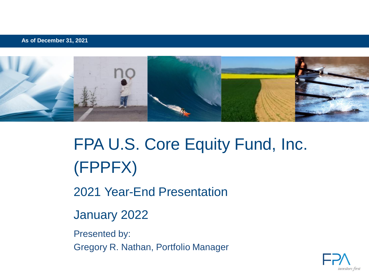**As of December 31, 2021**



# FPA U.S. Core Equity Fund, Inc. (FPPFX)

2021 Year-End Presentation

January 2022

Presented by: Gregory R. Nathan, Portfolio Manager

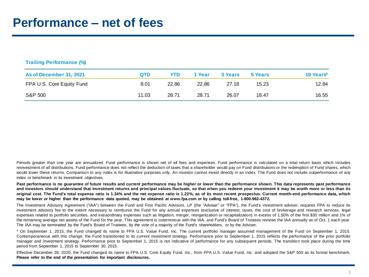| <b>Trailing Performance (%)</b> |       |       |        |         |         |           |
|---------------------------------|-------|-------|--------|---------|---------|-----------|
| As of December 31, 2021         | QTD   | YTD   | 1 Year | 3 Years | 5 Years | 10 Years* |
| FPA U.S. Core Equity Fund       | 8.01  | 22.86 | 22.86  | 27.18   | 15.23   | 12.84     |
| S&P 500                         | 11.03 | 28.71 | 28.71  | 26.07   | 18.47   | 16.55     |

Periods greater than one vear are annualized. Fund performance is shown net of all fees and expenses. Fund performance is calculated on a total return basis which includes reinvestment of all distributions. Fund performance does not reflect the deduction of taxes that a shareholder would pay on Fund distributions or the redemption of Fund shares, which would lower these returns. Comparison to any index is for illustrative purposes only. An investor cannot invest directly in an index. The Fund does not include outperformance of any index or benchmark in its investment objectives.

Past performance is no guarantee of future results and current performance may be higher or lower than the performance shown. This data represents past performance and investors should understand that investment returns and principal values fluctuate, so that when you redeem your investment it may be worth more or less than its original cost. The Fund's total expense ratio is 1.34% and the net expense ratio is 1.22%, as of its most recent prospectus. Current month-end performance data, which may be lower or higher than the performance data quoted, may be obtained at www.fpa.com or by calling toll-free, 1-800-982-4372.

The Investment Advisory Agreement ("IAA") between the Fund and First Pacific Advisors, LP (the "Adviser" or "FPA"), the Fund's investment adviser, requires FPA to reduce its investment advisory fee to the extent necessary to reimburse the Fund for any annual expenses (exclusive of interest, taxes, the cost of brokerage and research services, legal expenses related to portfolio securities, and extraordinary expenses such as litigation, merger, reorganization or recapitalization) in excess of 1.50% of the first \$30 million and 1% of the remaining average net assets of the Fund for the year. This agreement is coterminous with the IAA, and Fund's Board of Trustees reviews the IAA annually as of Oct. 1 each year. The IAA may be terminated by the Fund's Board of Trustees, by the vote of a majority of the Fund's shareholders, or by the Adviser.

\* On September 1, 2015, the Fund changed its name to FPA U.S. Value Fund, Inc. The current portfolio manager assumed management of the Fund on September 1, 2015. Contemporaneous with this change, the Fund transitioned to its current investment strategy. Performance prior to September 1, 2015 reflects the performance of the prior portfolio manager and investment strategy. Performance prior to September 1, 2015 is not indicative of performance for any subsequent periods. The transition took place during the time period from September 1, 2015 to September 30, 2015.

Effective December 28, 2020, the Fund changed its name to FPA U.S. Core Equity Fund, Inc., from FPA U.S. Value Fund, Inc. and adopted the S&P 500 as its formal benchmark. **Please refer to the end of the presentation for important disclosures.**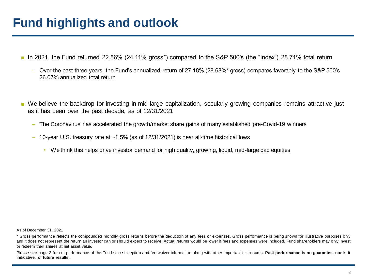### **Fund highlights and outlook**

- In 2021, the Fund returned 22.86% (24.11% gross<sup>\*</sup>) compared to the S&P 500's (the "Index") 28.71% total return
	- ‒ Over the past three years, the Fund's annualized return of 27.18% (28.68%\* gross) compares favorably to the S&P 500's 26.07% annualized total return
- We believe the backdrop for investing in mid-large capitalization, secularly growing companies remains attractive just as it has been over the past decade, as of 12/31/2021
	- ‒ The Coronavirus has accelerated the growth/market share gains of many established pre-Covid-19 winners
	- $-$  10-year U.S. treasury rate at  $\sim$  1.5% (as of 12/31/2021) is near all-time historical lows
		- We think this helps drive investor demand for high quality, growing, liquid, mid-large cap equities

As of December 31, 2021

Please see page 2 for net performance of the Fund since inception and fee waiver information along with other important disclosures. Past performance is no guarantee, nor is it **indicative, of future results.**

<sup>\*</sup> Gross performance reflects the compounded monthly gross returns before the deduction of any fees or expenses. Gross performance is being shown for illustrative purposes only and it does not represent the return an investor can or should expect to receive. Actual returns would be lower if fees and expenses were included. Fund shareholders may only invest or redeem their shares at net asset value.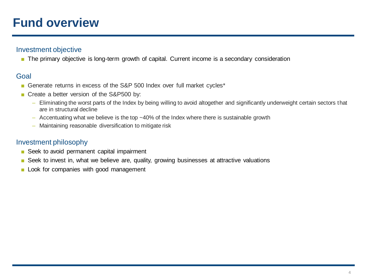### **Fund overview**

#### Investment objective

■ The primary objective is long-term growth of capital. Current income is a secondary consideration

#### Goal

- Generate returns in excess of the S&P 500 Index over full market cycles<sup>\*</sup>
- Create a better version of the S&P500 by:
	- ‒ Eliminating the worst parts of the Index by being willing to avoid altogether and significantly underweight certain sectors that are in structural decline
	- $-$  Accentuating what we believe is the top  $~10\%$  of the Index where there is sustainable growth
	- ‒ Maintaining reasonable diversification to mitigate risk

#### Investment philosophy

- Seek to avoid permanent capital impairment
- Seek to invest in, what we believe are, quality, growing businesses at attractive valuations
- Look for companies with good management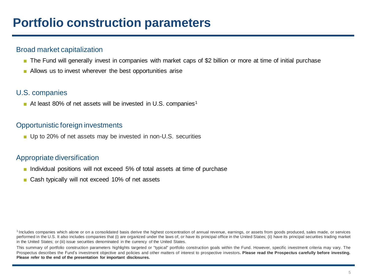### **Portfolio construction parameters**

#### Broad market capitalization

- The Fund will generally invest in companies with market caps of \$2 billion or more at time of initial purchase
- Allows us to invest wherever the best opportunities arise

#### U.S. companies

 $\blacksquare$  At least 80% of net assets will be invested in U.S. companies<sup>1</sup>

#### Opportunistic foreign investments

■ Up to 20% of net assets may be invested in non-U.S. securities

#### Appropriate diversification

- Individual positions will not exceed 5% of total assets at time of purchase
- Cash typically will not exceed 10% of net assets

<sup>1</sup> Includes companies which alone or on a consolidated basis derive the highest concentration of annual revenue, earnings, or assets from goods produced, sales made, or services performed in the U.S. It also includes companies that (i) are organized under the laws of, or have its principal office in the United States; (ii) have its principal securities trading market in the United States; or (iii) issue securities denominated in the currency of the United States.

This summary of portfolio construction parameters highlights targeted or "typical" portfolio construction goals within the Fund. However, specific investment criteria may vary. The Prospectus describes the Fund's investment objective and policies and other matters of interest to prospective investors. Please read the Prospectus carefully before investing. **Please refer to the end of the presentation for important disclosures.**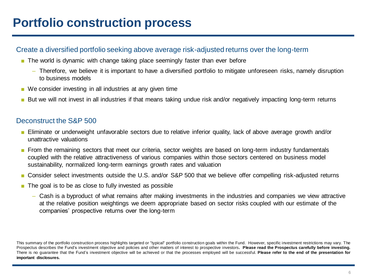### **Portfolio construction process**

#### Create a diversified portfolio seeking above average risk-adjusted returns over the long-term

- The world is dynamic with change taking place seemingly faster than ever before
	- ‒ Therefore, we believe it is important to have a diversified portfolio to mitigate unforeseen risks, namely disruption to business models
- We consider investing in all industries at any given time
- But we will not invest in all industries if that means taking undue risk and/or negatively impacting long-term returns

#### Deconstruct the S&P 500

- Eliminate or underweight unfavorable sectors due to relative inferior quality, lack of above average growth and/or unattractive valuations
- From the remaining sectors that meet our criteria, sector weights are based on long-term industry fundamentals coupled with the relative attractiveness of various companies within those sectors centered on business model sustainability, normalized long-term earnings growth rates and valuation
- Consider select investments outside the U.S. and/or S&P 500 that we believe offer compelling risk-adjusted returns
- The goal is to be as close to fully invested as possible
	- ‒ Cash is a byproduct of what remains after making investments in the industries and companies we view attractive at the relative position weightings we deem appropriate based on sector risks coupled with our estimate of the companies' prospective returns over the long-term

This summary of the portfolio construction process highlights targeted or "typical" portfolio construction goals within the Fund. However, specific investment restrictions may vary. The Prospectus describes the Fund's investment objective and policies and other matters of interest to prospective investors. Please read the Prospectus carefully before investing. There is no quarantee that the Fund's investment objective will be achieved or that the processes employed will be successful. Please refer to the end of the presentation for **important disclosures.**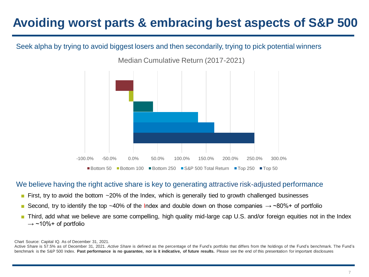# **Avoiding worst parts & embracing best aspects of S&P 500**

#### Seek alpha by trying to avoid biggest losers and then secondarily, trying to pick potential winners



Median Cumulative Return (2017-2021)

#### We believe having the right active share is key to generating attractive risk-adjusted performance

- First, try to avoid the bottom ~20% of the Index, which is generally tied to growth challenged businesses
- Second, try to identify the top ~40% of the Index and double down on those companies  $\rightarrow$  ~80%+ of portfolio
- Third, add what we believe are some compelling, high quality mid-large cap U.S. and/or foreign equities not in the Index  $\rightarrow$  ~10%+ of portfolio

Chart Source: Capital IQ. As of December 31, 2021.

Active Share is 57.5% as of December 31, 2021. *Active Share* is defined as the percentage of the Fund's portfolio that differs from the holdings of the Fund's benchmark. The Fund's benchmark is the S&P 500 Index. Past performance is no guarantee, nor is it indicative, of future results. Please see the end of this presentation for important disclosures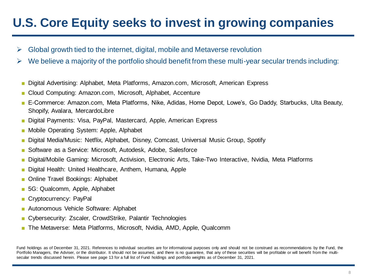### **U.S. Core Equity seeks to invest in growing companies**

- $\triangleright$  Global growth tied to the internet, digital, mobile and Metaverse revolution
- $\triangleright$  We believe a majority of the portfolio should benefit from these multi-year secular trends including:
	- Digital Advertising: Alphabet, Meta Platforms, Amazon.com, Microsoft, American Express
	- Cloud Computing: Amazon.com, Microsoft, Alphabet, Accenture
	- E-Commerce: Amazon.com, Meta Platforms, Nike, Adidas, Home Depot, Lowe's, Go Daddy, Starbucks, Ulta Beauty, Shopify, Avalara, MercardoLibre
	- Digital Payments: Visa, PayPal, Mastercard, Apple, American Express
	- Mobile Operating System: Apple, Alphabet
	- Digital Media/Music: Netflix, Alphabet, Disney, Comcast, Universal Music Group, Spotify
	- Software as a Service: Microsoft, Autodesk, Adobe, Salesforce
	- Digital/Mobile Gaming: Microsoft, Activision, Electronic Arts, Take-Two Interactive, Nvidia, Meta Platforms
	- Digital Health: United Healthcare, Anthem, Humana, Apple
	- Online Travel Bookings: Alphabet
	- 5G: Qualcomm, Apple, Alphabet
	- Cryptocurrency: PayPal
	- Autonomous Vehicle Software: Alphabet
	- Cybersecurity: Zscaler, CrowdStrike, Palantir Technologies
	- The Metaverse: Meta Platforms, Microsoft, Nvidia, AMD, Apple, Qualcomm

Fund holdings as of December 31, 2021. References to individual securities are for informational purposes only and should not be construed as recommendations by the Fund, the Portfolio Managers, the Adviser, or the distributor. It should not be assumed, and there is no quarantee, that any of these securities will be profitable or will benefit from the multisecular trends discussed herein. Please see page 13 for a full list of Fund holdings and portfolio weights as of December 31, 2021.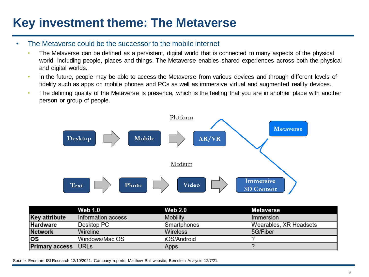# **Key investment theme: The Metaverse**

#### • The Metaverse could be the successor to the mobile internet

- The Metaverse can be defined as a persistent, digital world that is connected to many aspects of the physical world, including people, places and things. The Metaverse enables shared experiences across both the physical and digital worlds.
- In the future, people may be able to access the Metaverse from various devices and through different levels of fidelity such as apps on mobile phones and PCs as well as immersive virtual and augmented reality devices.
- The defining quality of the Metaverse is presence, which is the feeling that you are in another place with another person or group of people.



|                            | <b>Web 1.0</b>     | <b>Web 2.0</b>  | Metaverse              |
|----------------------------|--------------------|-----------------|------------------------|
| <b>Key attribute</b>       | Information access | <b>Mobility</b> | Immersion              |
| <b>Hardware</b>            | Desktop PC         | Smartphones     | Wearables, XR Headsets |
| <b>Network</b>             | Wireline           | <b>Wireless</b> | 5G/Fiber               |
| ΙOS                        | Windows/Mac OS     | iOS/Android     |                        |
| <b>Primary access</b> URLs |                    | Apps            |                        |

Source: Evercore ISI Research 12/10/2021. Company reports, Matthew Ball website, Bernstein Analysis 12/7/21.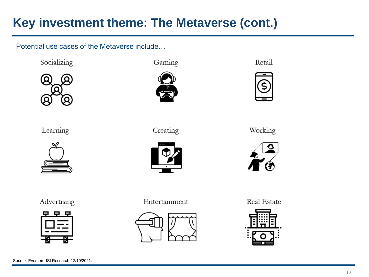# **Key investment theme: The Metaverse (cont.)**

Potential use cases of the Metaverse include…

Socializing



Learning



Advertising







Creating



Entertainment







Working



Real Estate

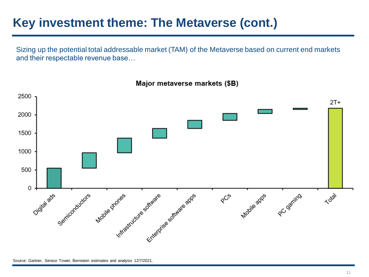### **Key investment theme: The Metaverse (cont.)**

Sizing up the potential total addressable market (TAM) of the Metaverse based on current end markets and their respectable revenue base…

2500  $2T+$ 2000 1500 1000 500 0 PC gaming Software Software apps Digital ads Semiconductors Indiastructure softwate Mobile prones Mobile apps Total  $8^\mathrm{C}$ 

Major metaverse markets (\$B)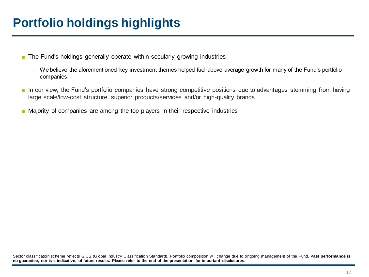# **Portfolio holdings highlights**

- The Fund's holdings generally operate within secularly growing industries
	- ‒ We believe the aforementioned key investment themes helped fuel above average growth for many of the Fund's portfolio companies
- In our view, the Fund's portfolio companies have strong competitive positions due to advantages stemming from having large scale/low-cost structure, superior products/services and/or high-quality brands
- Majority of companies are among the top players in their respective industries

Sector classification scheme reflects GICS (Global Industry Classification Standard). Portfolio composition will change due to ongoing management of the Fund. **Past performance is** no quarantee, nor is it indicative, of future results. Please refer to the end of the presentation for important disclosures.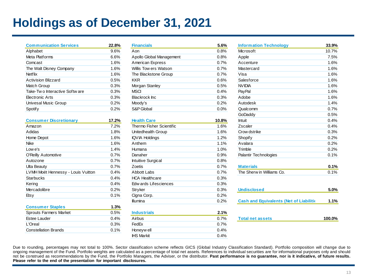# **Holdings as of December 31, 2021**

| <b>Communication Services</b>      | 22.8% |
|------------------------------------|-------|
| Alphabet                           | 9.6%  |
| Meta Platforms                     | 6.6%  |
| Comcast                            | 1.6%  |
| The Walt Disney Company            | 1.6%  |
| <b>Netflix</b>                     | 1.6%  |
| <b>Activision Blizzard</b>         | 0.5%  |
| Match Group                        | 0.3%  |
| Take-Two Interactive Software      | 0.3%  |
| <b>Flectronic Arts</b>             | 0.3%  |
| Univesal Music Group               | 0.2%  |
| Spotif y                           | 0.2%  |
|                                    |       |
| <b>Consumer Discretionary</b>      | 17.2% |
| Amazon                             | 7.2%  |
| Adidas                             | 1.8%  |
| Home Depot                         | 1.6%  |
| Nike                               | 1.6%  |
| $low$ e's                          | 1.4%  |
| O'Reilly Automotive                | 0.7%  |
| Autozone                           | 0.7%  |
| Ulta Beauty                        | 0.7%  |
| LVMH Moët Hennessy - Louis Vuitton | 0.4%  |
| Starbucks                          | 0.4%  |
| Kering                             | 0.4%  |
| Mercadolibre                       | 0.2%  |
| Etsy                               | 0.1%  |

| <b>Consumer Staples</b> | 1.3% |
|-------------------------|------|
| Sprouts Farmers Market  | 0.5% |
| Estee Lauder            | 0.4% |
| L'Oreal                 | 0.3% |
| Constellation Brands    | 0.1% |
|                         |      |

| <b>Financials</b>        | 5.6% |
|--------------------------|------|
| Aon                      | 0.8% |
| Apollo Global Management | 0.8% |
| American Express         | 0.7% |
| Willis Tow ers Watson    | 0.7% |
| The Blackstone Group     | 0.7% |
| KKR                      | 0.6% |
| Morgan Stanley           | 0.5% |
| MSCI                     | 0.4% |
| Blackrock Inc            | 0.3% |
| Moody's                  | 0.2% |
| S&P Global               | 0.0% |
|                          |      |

| <b>Consumer Discretionary</b>      | 17.2%   | <b>Health Care</b>       | 10.8%   |
|------------------------------------|---------|--------------------------|---------|
| Amazon                             | 7.2%    | Thermo Fisher Scientific | $1.6\%$ |
| Adidas                             | 1.8%    | Unitedhealth Group       | 1.6%    |
| Home Depot                         | 1.6%    | <b>IQVIA Holdings</b>    | 1.2%    |
| Nike                               | $1.6\%$ | Anthem                   | 1.1%    |
| Low e's                            | 1.4%    | Humana                   | 1.0%    |
| O'Reilly Automotive                | 0.7%    | Danaher                  | 0.9%    |
| Autozone                           | 0.7%    | Intuitive Surgical       | 0.8%    |
| Ulta Beauty                        | 0.7%    | Zoetis                   | 0.7%    |
| LVMH Moët Hennessy - Louis Vuitton | 0.4%    | Abbott Labs              | 0.7%    |
| Starbucks                          | 0.4%    | <b>HCA Healthcare</b>    | 0.3%    |
| Kering                             | 0.4%    | Edw ards Lifesciences    | 0.3%    |
| Mercadolibre                       | 0.2%    | Stryker                  | 0.3%    |
| Etsy                               | 0.1%    | Cigna Corp.              | 0.2%    |
|                                    |         | <b>Illumina</b>          | 0.2%    |
| <b>Consumer Staples</b>            | $1.3\%$ |                          |         |
| Sprouts Farmers Market             | 0.5%    | <b>Industrials</b>       | 2.1%    |
| Estee Lauder                       | 0.4%    | Airbus                   | 0.7%    |
| L'Oreal                            | 0.3%    | FedEx                    | 0.7%    |
| <b>Constellation Brands</b>        | 0.1%    | Honeyw ell               | 0.4%    |
|                                    |         | <b>IHS Markit</b>        | 0.4%    |
|                                    |         |                          |         |

| <b>Communication Services</b>      | 22.8% | <b>Financials</b>         | 5.6%  | <b>Information Technology</b>                  | 33.9%  |
|------------------------------------|-------|---------------------------|-------|------------------------------------------------|--------|
| Alphabet                           | 9.6%  | Aon                       | 0.8%  | Microsoft                                      | 10.7%  |
| Meta Platforms                     | 6.6%  | Apollo Global Management  | 0.8%  | Apple                                          | 7.5%   |
| Comcast                            | 1.6%  | American Express          | 0.7%  | Accenture                                      | 1.6%   |
| The Walt Disney Company            | 1.6%  | Willis Tow ers Watson     | 0.7%  | Mastercard                                     | 1.6%   |
| Netflix                            | 1.6%  | The Blackstone Group      | 0.7%  | Visa                                           | 1.6%   |
| <b>Activision Blizzard</b>         | 0.5%  | <b>KKR</b>                | 0.6%  | Salesforce                                     | 1.6%   |
| Match Group                        | 0.3%  | Morgan Stanley            | 0.5%  | <b>NVIDIA</b>                                  | 1.6%   |
| Take-Two Interactive Software      | 0.3%  | <b>MSCI</b>               | 0.4%  | PayPal                                         | 1.6%   |
| Electronic Arts                    | 0.3%  | <b>Blackrock</b> Inc      | 0.3%  | Adobe                                          | 1.6%   |
| Univesal Music Group               | 0.2%  | Moody's                   | 0.2%  | Autodesk                                       | 1.4%   |
| Spotify                            | 0.2%  | S&P Global                | 0.0%  | Qualcomm                                       | 0.7%   |
|                                    |       |                           |       | GoDaddy                                        | 0.5%   |
| <b>Consumer Discretionary</b>      | 17.2% | <b>Health Care</b>        | 10.8% | <b>Intuit</b>                                  | 0.4%   |
| Amazon                             | 7.2%  | Thermo Fisher Scientific  | 1.6%  | Zscaler                                        | 0.4%   |
| Adidas                             | 1.8%  | Unitedhealth Group        | 1.6%  | Crow dstrike                                   | 0.3%   |
| Home Depot                         | 1.6%  | <b>IQVIA Holdings</b>     | 1.2%  | <b>Shopify</b>                                 | 0.2%   |
| Nike                               | 1.6%  | Anthem                    | 1.1%  | Avalara                                        | 0.2%   |
| Low e's                            | 1.4%  | Humana                    | 1.0%  | Trimble                                        | 0.2%   |
| O'Reilly Automotive                | 0.7%  | Danaher                   | 0.9%  | <b>Palantir Technologies</b>                   | 0.1%   |
| Autozone                           | 0.7%  | <b>Intuitive Surgical</b> | 0.8%  |                                                |        |
| Ulta Beauty                        | 0.7%  | Zoetis                    | 0.7%  | <b>Materials</b>                               | 0.1%   |
| LVMH Moët Hennessy - Louis Vuitton | 0.4%  | <b>Abbott Labs</b>        | 0.7%  | The Sherw in Williams Co.                      | 0.1%   |
| Starbucks                          | 0.4%  | <b>HCA Healthcare</b>     | 0.3%  |                                                |        |
| Kering                             | 0.4%  | Edw ards Lifesciences     | 0.3%  |                                                |        |
| Mercadolibre                       | 0.2%  | Stryker                   | 0.3%  | <b>Undisclosed</b>                             | 5.0%   |
| Etsy                               | 0.1%  | Cigna Corp.               | 0.2%  |                                                |        |
|                                    |       | <b>Illumina</b>           | 0.2%  | <b>Cash and Equivalents (Net of Liabilitie</b> | 1.1%   |
| <b>Consumer Staples</b>            | 1.3%  |                           |       |                                                |        |
| Sprouts Farmers Market             | 0.5%  | <b>Industrials</b>        | 2.1%  |                                                |        |
| Estee Lauder                       | 0.4%  | Airbus                    | 0.7%  | <b>Total net assets</b>                        | 100.0% |
| L'Oreal                            | 0.3%  | FedEx                     | 0.7%  |                                                |        |
|                                    |       |                           |       |                                                |        |

Due to rounding, percentages may not total to 100%. Sector classification scheme reflects GICS (Global Industry Classification Standard). Portfolio composition will change due to ongoing management of the Fund. Portfolio weights are calculated as a percentage of total net assets. References to individual securities are for informational purposes only and should not be construed as recommendations by the Fund, the Portfolio Managers, the Adviser, or the distributor. Past performance is no guarantee, nor is it indicative, of future results. **Please refer to the end of the presentation for important disclosures.**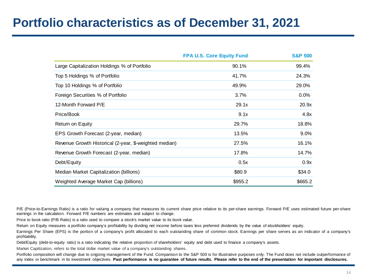### **Portfolio characteristics as of December 31, 2021**

|                                                        | <b>FPA U.S. Core Equity Fund</b> | <b>S&amp;P 500</b> |
|--------------------------------------------------------|----------------------------------|--------------------|
| Large Capitalization Holdings % of Portfolio           | 90.1%                            | 99.4%              |
| Top 5 Holdings % of Portfolio                          | 41.7%                            | 24.3%              |
| Top 10 Holdings % of Portfolio                         | 49.9%                            | 29.0%              |
| Foreign Securities % of Portfolio                      | 3.7%                             | 0.0%               |
| 12-Month Forward P/E                                   | 29.1x                            | 20.9x              |
| Price/Book                                             | 9.1x                             | 4.8x               |
| Return on Equity                                       | 29.7%                            | 18.8%              |
| EPS Growth Forecast (2-year, median)                   | 13.5%                            | $9.0\%$            |
| Revenue Growth Historical (2-year, \$-weighted median) | 27.5%                            | 16.1%              |
| Revenue Growth Forecast (2-year, median)               | 17.8%                            | 14.7%              |
| Debt/Equity                                            | 0.5x                             | 0.9x               |
| Median Market Capitalization (billions)                | \$80.9                           | \$34.0             |
| Weighted Average Market Cap (billions)                 | \$955.2                          | \$665.2            |

P/E (Price-to-Earnings Ratio) is a ratio for valuing a company that measures its current share price relative to its per-share earnings. Forward P/E uses estimated future per-share earnings in the calculation. Forward P/E numbers are estimates and subject to change.

Price to book ratio (P/B Ratio) is a ratio used to compare a stock's market value to its book value.

Return on Equity measures a portfolio company's profitability by dividing net income before taxes less preferred dividends by the value of stockholders' equity.

Earnings Per Share (EPS) is the portion of a company's profit allocated to each outstanding share of common stock. Earnings per share serves as an indicator of a company's profitability.

Debt/Equity (debt-to-equity ratio) is a ratio indicating the relative proportion of shareholders' equity and debt used to finance a company's assets.

Market Capitization, refers to the total dollar market value of a company's outstanding shares.

Portfolio composition will change due to ongoing management of the Fund. Comparison to the S&P 500 is for illustrative purposes only. The Fund does not include outperformance of any index or benchmark in its investment objectives. Past performance is no guarantee of future results. Please refer to the end of the presentation for important disclosures.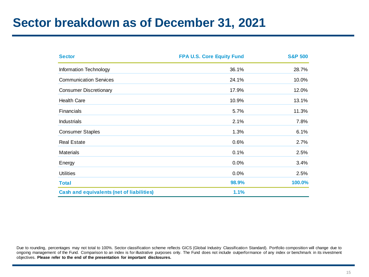### **Sector breakdown as of December 31, 2021**

| <b>Sector</b>                                    | <b>FPA U.S. Core Equity Fund</b> | <b>S&amp;P 500</b> |
|--------------------------------------------------|----------------------------------|--------------------|
| Information Technology                           | 36.1%                            | 28.7%              |
| <b>Communication Services</b>                    | 24.1%                            | 10.0%              |
| <b>Consumer Discretionary</b>                    | 17.9%                            | 12.0%              |
| <b>Health Care</b>                               | 10.9%                            | 13.1%              |
| <b>Financials</b>                                | 5.7%                             | 11.3%              |
| <b>Industrials</b>                               | 2.1%                             | 7.8%               |
| <b>Consumer Staples</b>                          | 1.3%                             | 6.1%               |
| <b>Real Estate</b>                               | 0.6%                             | 2.7%               |
| <b>Materials</b>                                 | 0.1%                             | 2.5%               |
| Energy                                           | 0.0%                             | 3.4%               |
| <b>Utilities</b>                                 | 0.0%                             | 2.5%               |
| <b>Total</b>                                     | 98.9%                            | 100.0%             |
| <b>Cash and equivalents (net of liabilities)</b> | 1.1%                             |                    |

Due to rounding, percentages may not total to 100%. Sector classification scheme reflects GICS (Global Industry Classification Standard). Portfolio composition will change due to ongoing management of the Fund. Comparison to an index is for illustrative purposes only. The Fund does not include outperformance of any index or benchmark in its investment objectives. **Please refer to the end of the presentation for important disclosures.**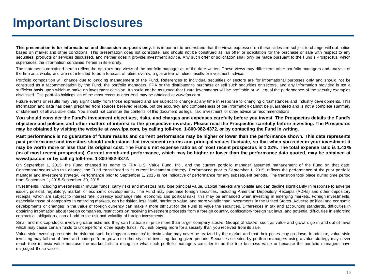### **Important Disclosures**

This presentation is for informational and discussion purposes only. It is important to understand that the views expressed on these slides are subject to change without notice based on market and other conditions. This presentation does not constitute, and should not be construed as, an offer or solicitation for the purchase or sale with respect to any securities, products or services discussed, and neither does it provide investment advice. Any such offer or solicitation shall only be made pursuant to the Fund's Prospectus, which supersedes the information contained herein in its entirety.

The statements contained herein reflect the opinions and views of the portfolio manager as of the date written. These views may differ from other portfolio managers and analysts of the firm as a whole, and are not intended to be a forecast of future events, a guarantee of future results or investment advice.

Portfolio composition will change due to ongoing management of the Fund. References to individual securities or sectors are for informational purposes only and should not be construed as a recommendation by the Fund, the portfolio managers, FPA or the distributor to purchase or sell such securities or sectors, and any information provided is not a sufficient basis upon which to make an investment decision. It should not be assumed that future investments will be profitable or will equal the performance of the security examples discussed. The portfolio holdings as of the most recent quarter-end may be obtained at www.fpa.com.

Future events or results may vary significantly from those expressed and are subject to change at any time in response to changing circumstances and industry developments. This information and data has been prepared from sources believed reliable, but the accuracy and completeness of the information cannot be guaranteed and is not a complete summary or statement of all available data. You should not construe the contents of this document as legal, tax, investment or other advice or recommendations.

You should consider the Fund's investment objectives, risks, and charges and expenses carefully before you invest. The Prospectus details the Fund's objective and policies and other matters of interest to the prospective investor. Please read the Prospectus carefully before investing. The Prospectus may be obtained by visiting the website at www.fpa.com, by calling toll-free, 1-800-982-4372, or by contacting the Fund in writing.

Past performance is no quarantee of future results and current performance may be higher or lower than the performance shown. This data represents past performance and investors should understand that investment returns and principal values fluctuate, so that when you redeem your investment it may be worth more or less than its original cost. The Fund's net expense ratio as of most recent prospectus is 1.22% The total expense ratio is 1.43% (as of most recent prospectus). Current month-end performance, which may be higher or lower than the performance data quoted, may be obtained at **www.fpa.com or by calling toll-free, 1-800-982-4372.**

On September 1, 2015, the Fund changed its name to FPA U.S. Value Fund, Inc., and the current portfolio manager assumed management of the Fund on that date. Contemporaneous with this change, the Fund transitioned to its current investment strategy. Performance prior to September 1, 2015, reflects the performance of the prior portfolio manager and investment strategy. Performance prior to September 1, 2015 is not indicative of performance for any subsequent periods. The transition took place during time period from September 1, 2015-September 30, 2015.

Investments, including investments in mutual funds, carry risks and investors may lose principal value. Capital markets are volatile and can decline significantly in response to adverse issuer, political, regulatory, market, or economic developments. The Fund may purchase foreign securities, including American Depository Receipts (ADRs) and other depository receipts, which are subject to interest rate, currency exchange rate, economic and political risks; this may be enhanced when investing in emerging markets. Foreign investments, especially those of companies in emerging markets, can be riskier, less liquid, harder to value, and more volatile than investments in the United States. Adverse political and economic developments or changes in the value of foreign currency can make it more difficult for the Fund to value the securities. Differences in tax and accounting standards, difficulties in obtaining information about foreign companies, restrictions on receiving investment proceeds from a foreign country, confiscatory foreign tax laws, and potential difficulties in enforcing contractual obligations, can all add to the risk and volatility of foreign investments.

Small and mid-cap stocks involve greater risks and they can fluctuate in price more than larger company stocks. Groups of stocks, such as value and growth, go in and out of favor which may cause certain funds to underperform other equity funds. You risk paying more for a security than you received from its sale.

Value style investing presents the risk that such holdings or securities' intrinsic value may never be realized by the market and that their prices may go down. In addition, value style investing may fall out of favor and underperform growth or other styles of investing during given periods. Securities selected by portfolio managers using a value strategy may never reach their intrinsic value because the market fails to recognize what such portfolio managers consider to be the true business value or because the portfolio managers have misjudged those values.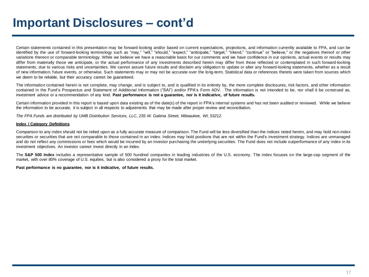### **Important Disclosures – cont'd**

Certain statements contained in this presentation may be forward-looking and/or based on current expectations, projections, and information currently available to FPA, and can be identified by the use of forward-looking terminology such as "may," "will," "should," "expect," "anticipate," "target," "intend," "continue" or "believe," or the negatives thereof or other variations thereon or comparable terminology. While we believe we have a reasonable basis for our comments and we have confidence in our opinions, actual events or results may differ from materially those we anticipate, or the actual performance of any investments described herein may differ from those reflected or contemplated in such forward-looking statements, due to various risks and uncertainties. We cannot assure future results and disclaim any obligation to update or alter any forward-looking statements, whether as a result of new information, future events, or otherwise. Such statements may or may not be accurate over the long-term. Statistical data or references thereto were taken from sources which we deem to be reliable, but their accuracy cannot be guaranteed.

The information contained herein is not complete, may change, and is subject to, and is qualified in its entirety by, the more complete disclosures, risk factors, and other information contained in the Fund's Prospectus and Statement of Additional Information ("SAI") and/or FPA's Form ADV. The information is not intended to be, nor shall it be construed as, investment advice or a recommendation of any kind. **Past performance is not a guarantee, nor is it indicative, of future results.**

Certain information provided in this report is based upon data existing as of the date(s) of the report in FPA's internal systems and has not been audited or reviewed. While we believe the information to be accurate, it is subject in all respects to adjustments that may be made after proper review and reconciliation.

The FPA Funds are distributed by UMB Distribution Services, LLC, 235 W. Galena Street, Milwaukee, WI, 53212.

#### **Index / Category Definitions**

Comparison to any index should not be relied upon as a fully accurate measure of comparison. The Fund will be less diversified than the indices noted herein, and may hold non-index securities or securities that are not comparable to those contained in an index. Indices may hold positions that are not within the Fund's investment strategy. Indices are unmanaged and do not reflect any commissions or fees which would be incurred by an investor purchasing the underlying securities. The Fund does not include outperformance of any index in its investment objectives. An investor cannot invest directly in an index.

The **S&P 500 Index** includes a representative sample of 500 hundred companies in leading industries of the U.S. economy. The index focuses on the large-cap segment of the market, with over 80% coverage of U.S. equities, but is also considered a proxy for the total market.

#### **Past performance is no guarantee, nor is it indicative, of future results.**